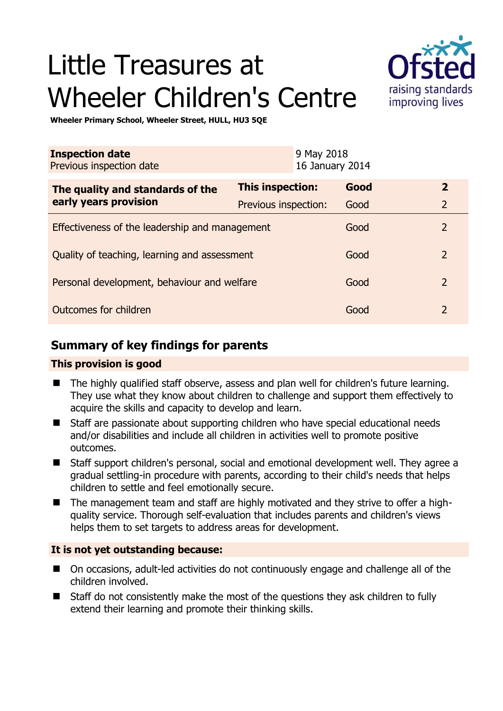# Little Treasures at Wheeler Children's Centre



**Wheeler Primary School, Wheeler Street, HULL, HU3 5QE** 

| <b>Inspection date</b><br>Previous inspection date        | 9 May 2018<br>16 January 2014 |      |                |
|-----------------------------------------------------------|-------------------------------|------|----------------|
| The quality and standards of the<br>early years provision | This inspection:              | Good | $\overline{2}$ |
|                                                           | Previous inspection:          | Good | $\overline{2}$ |
| Effectiveness of the leadership and management            |                               | Good | $\overline{2}$ |
| Quality of teaching, learning and assessment              |                               | Good | $\overline{2}$ |
| Personal development, behaviour and welfare               |                               | Good | $\overline{2}$ |
| Outcomes for children                                     |                               | Good | $\mathcal{P}$  |

# **Summary of key findings for parents**

#### **This provision is good**

- The highly qualified staff observe, assess and plan well for children's future learning. They use what they know about children to challenge and support them effectively to acquire the skills and capacity to develop and learn.
- Staff are passionate about supporting children who have special educational needs and/or disabilities and include all children in activities well to promote positive outcomes.
- Staff support children's personal, social and emotional development well. They agree a gradual settling-in procedure with parents, according to their child's needs that helps children to settle and feel emotionally secure.
- The management team and staff are highly motivated and they strive to offer a highquality service. Thorough self-evaluation that includes parents and children's views helps them to set targets to address areas for development.

## **It is not yet outstanding because:**

- On occasions, adult-led activities do not continuously engage and challenge all of the children involved.
- Staff do not consistently make the most of the questions they ask children to fully extend their learning and promote their thinking skills.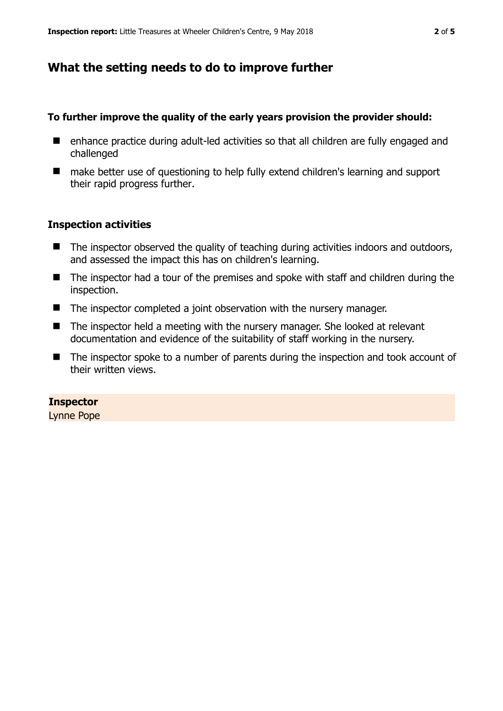# **What the setting needs to do to improve further**

#### **To further improve the quality of the early years provision the provider should:**

- enhance practice during adult-led activities so that all children are fully engaged and challenged
- make better use of questioning to help fully extend children's learning and support their rapid progress further.

#### **Inspection activities**

- The inspector observed the quality of teaching during activities indoors and outdoors, and assessed the impact this has on children's learning.
- The inspector had a tour of the premises and spoke with staff and children during the inspection.
- The inspector completed a joint observation with the nursery manager.
- The inspector held a meeting with the nursery manager. She looked at relevant documentation and evidence of the suitability of staff working in the nursery.
- The inspector spoke to a number of parents during the inspection and took account of their written views.

#### **Inspector**

Lynne Pope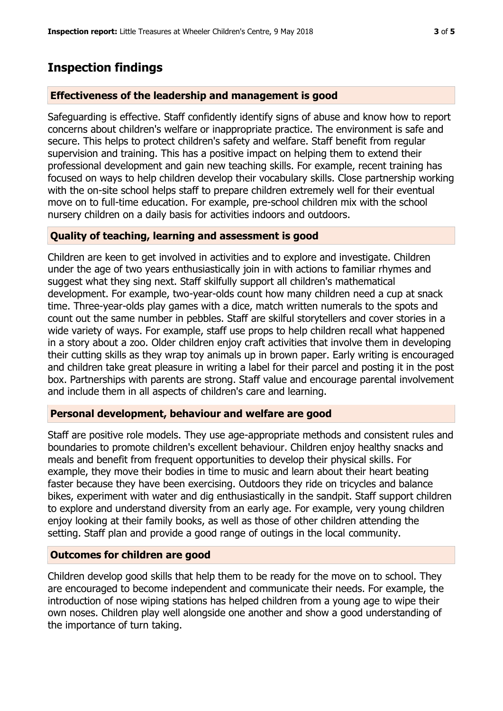## **Inspection findings**

#### **Effectiveness of the leadership and management is good**

Safeguarding is effective. Staff confidently identify signs of abuse and know how to report concerns about children's welfare or inappropriate practice. The environment is safe and secure. This helps to protect children's safety and welfare. Staff benefit from regular supervision and training. This has a positive impact on helping them to extend their professional development and gain new teaching skills. For example, recent training has focused on ways to help children develop their vocabulary skills. Close partnership working with the on-site school helps staff to prepare children extremely well for their eventual move on to full-time education. For example, pre-school children mix with the school nursery children on a daily basis for activities indoors and outdoors.

### **Quality of teaching, learning and assessment is good**

Children are keen to get involved in activities and to explore and investigate. Children under the age of two years enthusiastically join in with actions to familiar rhymes and suggest what they sing next. Staff skilfully support all children's mathematical development. For example, two-year-olds count how many children need a cup at snack time. Three-year-olds play games with a dice, match written numerals to the spots and count out the same number in pebbles. Staff are skilful storytellers and cover stories in a wide variety of ways. For example, staff use props to help children recall what happened in a story about a zoo. Older children enjoy craft activities that involve them in developing their cutting skills as they wrap toy animals up in brown paper. Early writing is encouraged and children take great pleasure in writing a label for their parcel and posting it in the post box. Partnerships with parents are strong. Staff value and encourage parental involvement and include them in all aspects of children's care and learning.

#### **Personal development, behaviour and welfare are good**

Staff are positive role models. They use age-appropriate methods and consistent rules and boundaries to promote children's excellent behaviour. Children enjoy healthy snacks and meals and benefit from frequent opportunities to develop their physical skills. For example, they move their bodies in time to music and learn about their heart beating faster because they have been exercising. Outdoors they ride on tricycles and balance bikes, experiment with water and dig enthusiastically in the sandpit. Staff support children to explore and understand diversity from an early age. For example, very young children enjoy looking at their family books, as well as those of other children attending the setting. Staff plan and provide a good range of outings in the local community.

#### **Outcomes for children are good**

Children develop good skills that help them to be ready for the move on to school. They are encouraged to become independent and communicate their needs. For example, the introduction of nose wiping stations has helped children from a young age to wipe their own noses. Children play well alongside one another and show a good understanding of the importance of turn taking.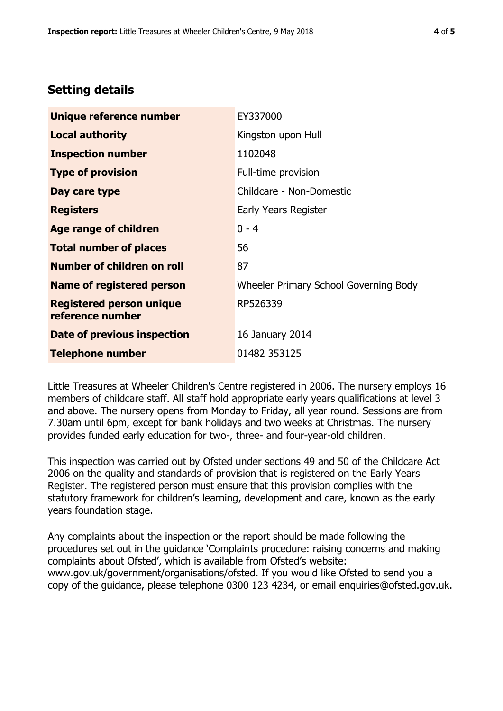## **Setting details**

| Unique reference number                             | EY337000                              |  |
|-----------------------------------------------------|---------------------------------------|--|
| <b>Local authority</b>                              | Kingston upon Hull                    |  |
| <b>Inspection number</b>                            | 1102048                               |  |
| <b>Type of provision</b>                            | Full-time provision                   |  |
| Day care type                                       | Childcare - Non-Domestic              |  |
| <b>Registers</b>                                    | Early Years Register                  |  |
| <b>Age range of children</b>                        | $0 - 4$                               |  |
| <b>Total number of places</b>                       | 56                                    |  |
| <b>Number of children on roll</b>                   | 87                                    |  |
| Name of registered person                           | Wheeler Primary School Governing Body |  |
| <b>Registered person unique</b><br>reference number | RP526339                              |  |
| Date of previous inspection                         | 16 January 2014                       |  |
| <b>Telephone number</b>                             | 01482 353125                          |  |

Little Treasures at Wheeler Children's Centre registered in 2006. The nursery employs 16 members of childcare staff. All staff hold appropriate early years qualifications at level 3 and above. The nursery opens from Monday to Friday, all year round. Sessions are from 7.30am until 6pm, except for bank holidays and two weeks at Christmas. The nursery provides funded early education for two-, three- and four-year-old children.

This inspection was carried out by Ofsted under sections 49 and 50 of the Childcare Act 2006 on the quality and standards of provision that is registered on the Early Years Register. The registered person must ensure that this provision complies with the statutory framework for children's learning, development and care, known as the early years foundation stage.

Any complaints about the inspection or the report should be made following the procedures set out in the guidance 'Complaints procedure: raising concerns and making complaints about Ofsted', which is available from Ofsted's website: www.gov.uk/government/organisations/ofsted. If you would like Ofsted to send you a copy of the guidance, please telephone 0300 123 4234, or email enquiries@ofsted.gov.uk.